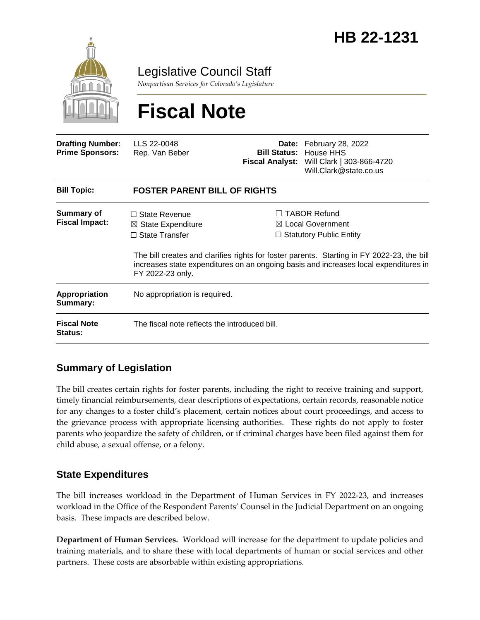

Legislative Council Staff

*Nonpartisan Services for Colorado's Legislature*

# **Fiscal Note**

| <b>Drafting Number:</b><br><b>Prime Sponsors:</b> | LLS 22-0048<br>Rep. Van Beber                                                                      | <b>Bill Status:</b> | <b>Date:</b> February 28, 2022<br>House HHS<br>Fiscal Analyst: Will Clark   303-866-4720<br>Will.Clark@state.co.us                                                                                                                                                          |  |
|---------------------------------------------------|----------------------------------------------------------------------------------------------------|---------------------|-----------------------------------------------------------------------------------------------------------------------------------------------------------------------------------------------------------------------------------------------------------------------------|--|
| <b>Bill Topic:</b>                                | <b>FOSTER PARENT BILL OF RIGHTS</b>                                                                |                     |                                                                                                                                                                                                                                                                             |  |
| <b>Summary of</b><br><b>Fiscal Impact:</b>        | $\Box$ State Revenue<br>$\boxtimes$ State Expenditure<br>$\Box$ State Transfer<br>FY 2022-23 only. | $\Box$              | <b>TABOR Refund</b><br>$\boxtimes$ Local Government<br>$\Box$ Statutory Public Entity<br>The bill creates and clarifies rights for foster parents. Starting in FY 2022-23, the bill<br>increases state expenditures on an ongoing basis and increases local expenditures in |  |
| Appropriation<br>Summary:                         | No appropriation is required.                                                                      |                     |                                                                                                                                                                                                                                                                             |  |
| <b>Fiscal Note</b><br><b>Status:</b>              | The fiscal note reflects the introduced bill.                                                      |                     |                                                                                                                                                                                                                                                                             |  |

## **Summary of Legislation**

The bill creates certain rights for foster parents, including the right to receive training and support, timely financial reimbursements, clear descriptions of expectations, certain records, reasonable notice for any changes to a foster child's placement, certain notices about court proceedings, and access to the grievance process with appropriate licensing authorities. These rights do not apply to foster parents who jeopardize the safety of children, or if criminal charges have been filed against them for child abuse, a sexual offense, or a felony.

### **State Expenditures**

The bill increases workload in the Department of Human Services in FY 2022-23, and increases workload in the Office of the Respondent Parents' Counsel in the Judicial Department on an ongoing basis. These impacts are described below.

**Department of Human Services.** Workload will increase for the department to update policies and training materials, and to share these with local departments of human or social services and other partners. These costs are absorbable within existing appropriations.